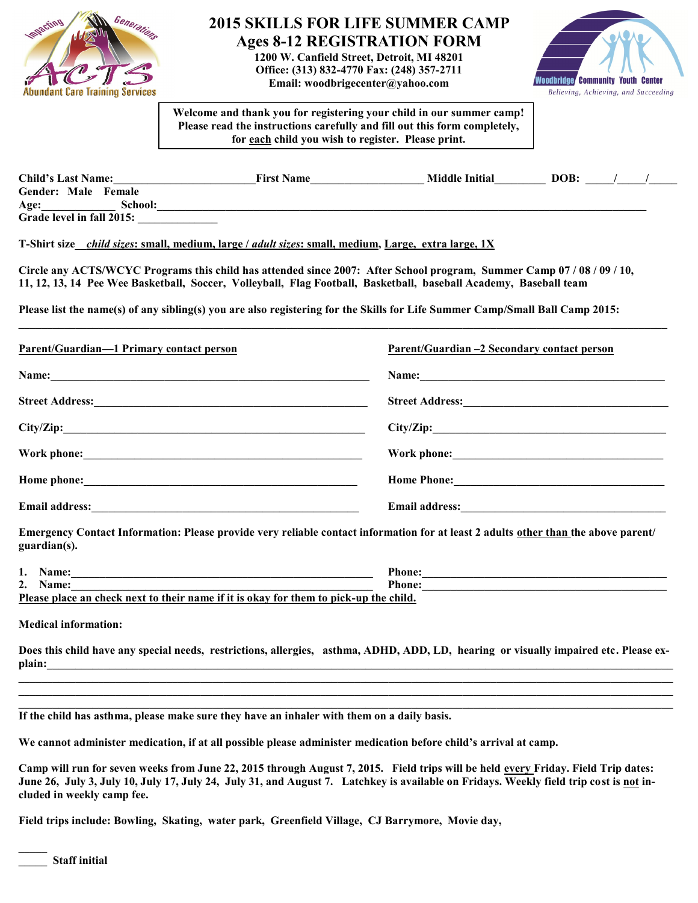

## **2015 SKILLS FOR LIFE SUMMER CAMP Ages 8-12 REGISTRATION FORM**

**1200 W. Canfield Street, Detroit, MI 48201 Office: (313) 832-4770 Fax: (248) 357-2711 Email: woodbrigecenter@yahoo.com** 



**Welcome and thank you for registering your child in our summer camp! Please read the instructions carefully and fill out this form completely, for each child you wish to register. Please print.**

| <b>Child's Last Name:</b> | <b>First Name</b> | <b>Middle Initial</b> | DOB: |  |
|---------------------------|-------------------|-----------------------|------|--|
| Gender: Male Female       |                   |                       |      |  |
| School:<br>Age:           |                   |                       |      |  |
| Grade level in fall 2015: |                   |                       |      |  |

**T-Shirt size\_\_***child sizes***: small, medium, large /** *adult sizes***: small, medium, Large, extra large, 1X**

**Circle any ACTS/WCYC Programs this child has attended since 2007: After School program, Summer Camp 07 / 08 / 09 / 10, 11, 12, 13, 14 Pee Wee Basketball, Soccer, Volleyball, Flag Football, Basketball, baseball Academy, Baseball team**

**Please list the name(s) of any sibling(s) you are also registering for the Skills for Life Summer Camp/Small Ball Camp 2015:**

| <b>Parent/Guardian-1 Primary contact person</b>                                      | <u>Parent/Guardian -2 Secondary contact person</u> |
|--------------------------------------------------------------------------------------|----------------------------------------------------|
|                                                                                      | Name:                                              |
|                                                                                      |                                                    |
|                                                                                      | City/Zip:                                          |
|                                                                                      |                                                    |
|                                                                                      |                                                    |
| <b>Email address:</b><br><u> 1989 - Johann Stein, Amerikaansk politiker (* 1958)</u> |                                                    |

**Emergency Contact Information: Please provide very reliable contact information for at least 2 adults other than the above parent/ guardian(s).**

| ı. | Name:                                                                                 | Phone: |  |  |  |  |
|----|---------------------------------------------------------------------------------------|--------|--|--|--|--|
| 2. | Name:                                                                                 | Phone: |  |  |  |  |
|    | Please place an check next to their name if it is okay for them to pick-up the child. |        |  |  |  |  |

**Medical information:**

**Does this child have any special needs, restrictions, allergies, asthma, ADHD, ADD, LD, hearing or visually impaired etc. Please explain:\_\_\_\_\_\_\_\_\_\_\_\_\_\_\_\_\_\_\_\_\_\_\_\_\_\_\_\_\_\_\_\_\_\_\_\_\_\_\_\_\_\_\_\_\_\_\_\_\_\_\_\_\_\_\_\_\_\_\_\_\_\_\_\_\_\_\_\_\_\_\_\_\_\_\_\_\_\_\_\_\_\_\_\_\_\_\_\_\_\_\_\_\_\_\_\_\_\_\_\_\_\_\_\_\_\_\_\_\_\_**

**\_\_\_\_\_\_\_\_\_\_\_\_\_\_\_\_\_\_\_\_\_\_\_\_\_\_\_\_\_\_\_\_\_\_\_\_\_\_\_\_\_\_\_\_\_\_\_\_\_\_\_\_\_\_\_\_\_\_\_\_\_\_\_\_\_\_\_\_\_\_\_\_\_\_\_\_\_\_\_\_\_\_\_\_\_\_\_\_\_\_\_\_\_\_\_\_\_\_\_\_\_\_\_\_\_\_\_\_\_\_\_\_\_\_\_**

 $\mathcal{L} = \{ \mathcal{L} \mathcal{L} \mathcal{L} \mathcal{L} \mathcal{L} \mathcal{L} \mathcal{L} \mathcal{L} \mathcal{L} \mathcal{L} \mathcal{L} \mathcal{L} \mathcal{L} \mathcal{L} \mathcal{L} \mathcal{L} \mathcal{L} \mathcal{L} \mathcal{L} \mathcal{L} \mathcal{L} \mathcal{L} \mathcal{L} \mathcal{L} \mathcal{L} \mathcal{L} \mathcal{L} \mathcal{L} \mathcal{L} \mathcal{L} \mathcal{L} \mathcal{L} \mathcal{L} \mathcal{L} \mathcal{L} \$ **If the child has asthma, please make sure they have an inhaler with them on a daily basis.** 

**We cannot administer medication, if at all possible please administer medication before child's arrival at camp.**

**Camp will run for seven weeks from June 22, 2015 through August 7, 2015. Field trips will be held every Friday. Field Trip dates: June 26, July 3, July 10, July 17, July 24, July 31, and August 7. Latchkey is available on Fridays. Weekly field trip cost is not included in weekly camp fee.** 

**Field trips include: Bowling, Skating, water park, Greenfield Village, CJ Barrymore, Movie day,** 

**\_\_\_\_\_**